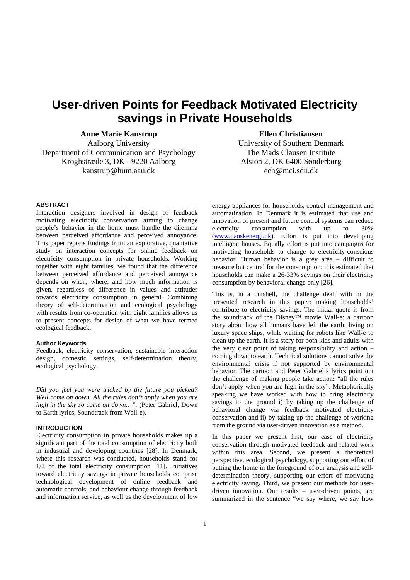# **User-driven Points for Feedback Motivated Electricity savings in Private Households**

**Anne Marie Kanstrup**  Aalborg University Department of Communication and Psychology Kroghstræde 3, DK - 9220 Aalborg kanstrup@hum.aau.dk

**Ellen Christiansen**  University of Southern Denmark The Mads Clausen Institute Alsion 2, DK 6400 Sønderborg ech@mci.sdu.dk

#### **ABSTRACT**

Interaction designers involved in design of feedback motivating electricity conservation aiming to change people's behavior in the home must handle the dilemma between perceived affordance and perceived annoyance. This paper reports findings from an explorative, qualitative study on interaction concepts for online feedback on electricity consumption in private households. Working together with eight families, we found that the difference between perceived affordance and perceived annoyance depends on when, where, and how much information is given, regardless of difference in values and attitudes towards electricity consumption in general. Combining theory of self-determination and ecological psychology with results from co-operation with eight families allows us to present concepts for design of what we have termed ecological feedback.

# **Author Keywords**

Feedback, electricity conservation, sustainable interaction design, domestic settings, self-determination theory, ecological psychology.

*Did you feel you were tricked by the future you picked? Well come on down. All the rules don't apply when you are high in the sky so come on down…".* (Peter Gabriel, Down to Earth lyrics, Soundtrack from Wall-e).

# **INTRODUCTION**

Electricity consumption in private households makes up a significant part of the total consumption of electricity both in industrial and developing countries [28]. In Denmark, where this research was conducted, households stand for 1/3 of the total electricity consumption [11]. Initiatives toward electricity savings in private households comprise technological development of online feedback and automatic controls, and behaviour change through feedback and information service, as well as the development of low

energy appliances for households, control management and automatization. In Denmark it is estimated that use and innovation of present and future control systems can reduce electricity consumption with up to 30% (www.danskenergi.dk). Effort is put into developing intelligent houses. Equally effort is put into campaigns for motivating households to change to electricity-conscious behavior. Human behavior is a grey area – difficult to measure but central for the consumption: it is estimated that households can make a 26-33% savings on their electricity consumption by behavioral change only [26].

This is, in a nutshell, the challenge dealt with in the presented research in this paper: making households' contribute to electricity savings. The initial quote is from the soundtrack of the Disney™ movie Wall-e: a cartoon story about how all humans have left the earth, living on luxury space ships, while waiting for robots like Wall-e to clean up the earth. It is a story for both kids and adults with the very clear point of taking responsibility and action – coming down to earth. Technical solutions cannot solve the environmental crisis if not supported by environmental behavior. The cartoon and Peter Gabriel's lyrics point out the challenge of making people take action: "all the rules don't apply when you are high in the sky". Metaphorically speaking we have worked with how to bring electricity savings to the ground i) by taking up the challenge of behavioral change via feedback motivated electricity conservation and ii) by taking up the challenge of working from the ground via user-driven innovation as a method.

In this paper we present first, our case of electricity conservation through motivated feedback and related work within this area. Second, we present a theoretical perspective, ecological psychology, supporting our effort of putting the home in the foreground of our analysis and selfdetermination theory, supporting our effort of motivating electricity saving. Third, we present our methods for userdriven innovation. Our results – user-driven points, are summarized in the sentence "we say where, we say how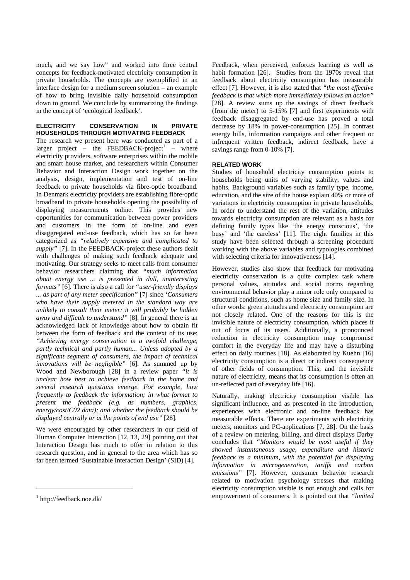much, and we say how" and worked into three central concepts for feedback-motivated electricity consumption in private households. The concepts are exemplified in an interface design for a medium screen solution – an example of how to bring invisible daily household consumption down to ground. We conclude by summarizing the findings in the concept of 'ecological feedback'.

# **ELECTRICITY CONSERVATION IN PRIVATE HOUSEHOLDS THROUGH MOTIVATING FEEDBACK**

The research we present here was conducted as part of a larger project – the FEEDBACK-project<sup>1</sup> – where electricity providers, software enterprises within the mobile and smart house market, and researchers within Consumer Behavior and Interaction Design work together on the analysis, design, implementation and test of on-line feedback to private households via fibre-optic broadband. In Denmark electricity providers are establishing fibre-optic broadband to private households opening the possibility of displaying measurements online. This provides new opportunities for communication between power providers and customers in the form of on-line and even disaggregated end-use feedback, which has so far been categorized as *"relatively expensive and complicated to supply"* [7]. In the FEEDBACK-project these authors dealt with challenges of making such feedback adequate and motivating. Our strategy seeks to meet calls from consumer behavior researchers claiming that *"much information about energy use ... is presented in dull, uninteresting formats"* [6]. There is also a call for *"user-friendly displays ... as part of any meter specification"* [7] since *'Consumers who have their supply metered in the standard way are unlikely to consult their meter: it will probably be hidden away and difficult to understand"* [8]. In general there is an acknowledged lack of knowledge about how to obtain fit between the form of feedback and the context of its use: *"Achieving energy conservation is a twofold challenge, partly technical and partly human... Unless adopted by a significant segment of consumers, the impact of technical innovations will be negligible"* [6]. As summed up by Wood and Newborough [28] in a review paper *"it is unclear how best to achieve feedback in the home and several research questions emerge. For example, how frequently to feedback the information; in what format to present the feedback (e.g. as numbers, graphics, energy/cost/C02 data); and whether the feedback should be displayed centrally or at the points of end use"* [28].

We were encouraged by other researchers in our field of Human Computer Interaction [12, 13, 29] pointing out that Interaction Design has much to offer in relation to this research question, and in general to the area which has so far been termed 'Sustainable Interaction Design' (SID) [4].

1

Feedback, when perceived, enforces learning as well as habit formation [26]. Studies from the 1970s reveal that feedback about electricity consumption has measurable effect [7]. However, it is also stated that *"the most effective feedback is that which more immediately follows an action"* [28]. A review sums up the savings of direct feedback (from the meter) to 5-15% [7] and first experiments with feedback disaggregated by end-use has proved a total decrease by 18% in power-consumption [25]. In contrast energy bills, information campaigns and other frequent or infrequent written feedback, indirect feedback, have a savings range from 0-10% [7].

# **RELATED WORK**

Studies of household electricity consumption points to households being units of varying stability, values and habits. Background variables such as family type, income, education, and the size of the house explain 40% or more of variations in electricity consumption in private households. In order to understand the rest of the variation, attitudes towards electricity consumption are relevant as a basis for defining family types like 'the energy conscious', 'the busy' and 'the careless' [11]. The eight families in this study have been selected through a screening procedure working with the above variables and typologies combined with selecting criteria for innovativeness [14].

However, studies also show that feedback for motivating electricity conservation is a quite complex task where personal values, attitudes and social norms regarding environmental behavior play a minor role only compared to structural conditions, such as home size and family size. In other words: green attitudes and electricity consumption are not closely related. One of the reasons for this is the invisible nature of electricity consumption, which places it out of focus of its users. Additionally, a pronounced reduction in electricity consumption may compromise comfort in the everyday life and may have a disturbing effect on daily routines [18]. As elaborated by Kuehn [16] electricity consumption is a direct or indirect consequence of other fields of consumption. This, and the invisible nature of electricity, means that its consumption is often an un-reflected part of everyday life [16].

Naturally, making electricity consumption visible has significant influence, and as presented in the introduction, experiences with electronic and on-line feedback has measurable effects. There are experiments with electricity meters, monitors and PC-applications [7, 28]. On the basis of a review on metering, billing, and direct displays Darby concludes that *"Monitors would be most useful if they showed instantaneous usage, expenditure and historic feedback as a minimum, with the potential for displaying information in microgeneration, tariffs and carbon emissions"* [7]. However, consumer behavior research related to motivation psychology stresses that making electricity consumption visible is not enough and calls for empowerment of consumers. It is pointed out that *"limited* 

<sup>1</sup> http://feedback.noe.dk/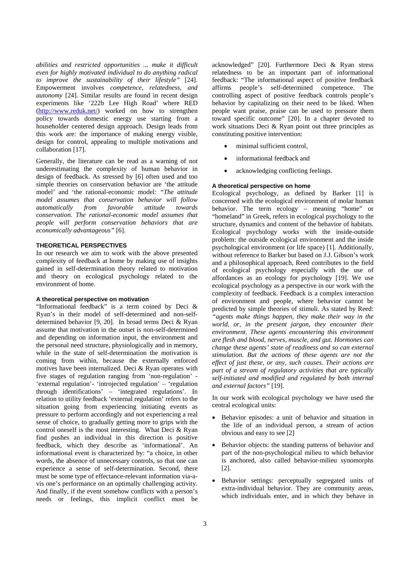*abilities and restricted opportunities ... make it difficult even for highly motivated individual to do anything radical to improve the sustainability of their lifestyle"* [24]. Empowerment involves *competence, relatedness, and autonomy* [24]. Similar results are found in recent design experiments like '222b Lee High Road' where RED (http://www.reduk.net/) worked on how to strengthen policy towards domestic energy use starting from a householder centered design approach. Design leads from this work are: the importance of making energy visible, design for control, appealing to multiple motivations and collaboration [17].

Generally, the literature can be read as a warning of not underestimating the complexity of human behavior in design of feedback. As stressed by [6] often used and too simple theories on conservation behavior are 'the attitude model' and 'the rational-economic model: *"The attitude model assumes that conservation behavior will follow automatically from favorable attitude towards conservation. The rational-economic model assumes that people will perform conservation behaviors that are economically advantageous"* [6].

## **THEORETICAL PERSPECTIVES**

In our research we aim to work with the above presented complexity of feedback at home by making use of insights gained in self-determination theory related to motivation and theory on ecological psychology related to the environment of home.

#### **A theoretical perspective on motivation**

"Informational feedback" is a term coined by Deci & Ryan's in their model of self-determined and non-selfdetermined behavior [9, 20]. In broad terms Deci & Ryan assume that motivation in the outset is non-self-determined and depending on information input, the environment and the personal need structure, physiologically and in memory, while in the state of self-determination the motivation is coming from within, because the externally enforced motives have been internalized. Deci & Ryan operates with five stages of regulation ranging from 'non-regulation' - 'external regulation'- 'introjected regulation' – 'regulation through identifications' – 'integrated regulations'. In relation to utility feedback 'external regulation' refers to the situation going from experiencing initiating events as pressure to perform accordingly and not experiencing a real sense of choice, to gradually getting more to grips with the control oneself is the most interesting. What Deci & Ryan find pushes an individual in this direction is positive feedback, which they describe as 'informational'. An informational event is characterized by: "a choice, in other words, the absence of unnecessary controls, so that one can experience a sense of self-determination. Second, there must be some type of effectance-relevant information via-avis one's performance on an optimally challenging activity. And finally, if the event somehow conflicts with a person's needs or feelings, this implicit conflict must be

acknowledged" [20]. Furthermore Deci & Ryan stress relatedness to be an important part of informational feedback: "The informational aspect of positive feedback affirms people's self-determined competence. The controlling aspect of positive feedback controls people's behavior by capitalizing on their need to be liked. When people want praise, praise can be used to pressure them toward specific outcome" [20]. In a chapter devoted to work situations Deci & Ryan point out three principles as constituting positive intervention:

- minimal sufficient control,
- informational feedback and
- acknowledging conflicting feelings.

## **A theoretical perspective on home**

Ecological psychology, as defined by Barker [1] is concerned with the ecological environment of molar human behavior. The term ecology – meaning "home" or "homeland" in Greek, refers in ecological psychology to the structure, dynamics and content of the behavior of habitats. Ecological psychology works with the inside-outside problem: the outside ecological environment and the inside psychological environment (or life space) [1]. Additionally, without reference to Barker but based on J.J. Gibson's work and a philosophical approach, Reed contributes to the field of ecological psychology especially with the use of affordances as an ecology for psychology [19]. We use ecological psychology as a perspective in our work with the complexity of feedback. Feedback is a complex interaction of environment and people, where behavior cannot be predicted by simple theories of stimuli. As stated by Reed: *"agents make things happen, they make their way in the world, or, in the present jargon, they encounter their environment. These agents encountering this environment are flesh and blood, nerves, muscle, and gut. Hormones can change these agents' state of readiness and so can external stimulation. But the actions of these agents are not the effect of just these, or any, such causes. Their actions are part of a stream of regulatory activities that are typically self-initiated and modified and regulated by both internal and external factors"* [19].

In our work with ecological psychology we have used the central ecological units:

- Behavior episodes: a unit of behavior and situation in the life of an individual person, a stream of action obvious and easy to see [2]
- Behavior objects: the standing patterns of behavior and part of the non-psychological milieu to which behavior is anchored, also called behavior-milieu synomorphs [2].
- Behavior settings: perceptually segregated units of extra-individual behavior. They are community areas, which individuals enter, and in which they behave in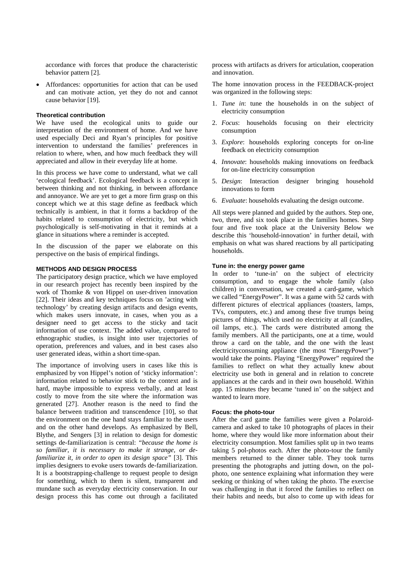accordance with forces that produce the characteristic behavior pattern [2].

• Affordances: opportunities for action that can be used and can motivate action, yet they do not and cannot cause behavior [19].

## **Theoretical contribution**

We have used the ecological units to guide our interpretation of the environment of home. And we have used especially Deci and Ryan's principles for positive intervention to understand the families' preferences in relation to where, when, and how much feedback they will appreciated and allow in their everyday life at home.

In this process we have come to understand, what we call 'ecological feedback'. Ecological feedback is a concept in between thinking and not thinking, in between affordance and annoyance. We are yet to get a more firm grasp on this concept which we at this stage define as feedback which technically is ambient, in that it forms a backdrop of the habits related to consumption of electricity, but which psychologically is self-motivating in that it reminds at a glance in situations where a reminder is accepted.

In the discussion of the paper we elaborate on this perspective on the basis of empirical findings.

## **METHODS AND DESIGN PROCESS**

The participatory design practice, which we have employed in our research project has recently been inspired by the work of Thomke & von Hippel on user-driven innovation [22]. Their ideas and key techniques focus on 'acting with technology' by creating design artifacts and design events, which makes users innovate, in cases, when you as a designer need to get access to the sticky and tacit information of use context. The added value, compared to ethnographic studies, is insight into user trajectories of operation, preferences and values, and in best cases also user generated ideas, within a short time-span.

The importance of involving users in cases like this is emphasized by von Hippel's notion of 'sticky information': information related to behavior stick to the context and is hard, maybe impossible to express verbally, and at least costly to move from the site where the information was generated [27]. Another reason is the need to find the balance between tradition and transcendence [10], so that the environment on the one hand stays familiar to the users and on the other hand develops. As emphasized by Bell, Blythe, and Sengers [3] in relation to design for domestic settings de-familiarization is central: *"because the home is so familiar, it is necessary to make it strange, or defamiliarize it, in order to open its design space"* [3]. This implies designers to evoke users towards de-familiarization. It is a bootstrapping-challenge to request people to design for something, which to them is silent, transparent and mundane such as everyday electricity conservation. In our design process this has come out through a facilitated

process with artifacts as drivers for articulation, cooperation and innovation.

The home innovation process in the FEEDBACK-project was organized in the following steps:

- 1. *Tune in*: tune the households in on the subject of electricity consumption
- 2. *Focus*: households focusing on their electricity consumption
- 3. *Explore*: households exploring concepts for on-line feedback on electricity consumption
- 4. *Innovate*: households making innovations on feedback for on-line electricity consumption
- 5. *Design*: Interaction designer bringing household innovations to form
- 6. *Evaluate*: households evaluating the design outcome.

All steps were planned and guided by the authors. Step one, two, three, and six took place in the families homes. Step four and five took place at the University Below we describe this 'household-innovation' in further detail, with emphasis on what was shared reactions by all participating households.

## **Tune in: the energy power game**

In order to 'tune-in' on the subject of electricity consumption, and to engage the whole family (also children) in conversation, we created a card-game, which we called "EnergyPower". It was a game with 52 cards with different pictures of electrical appliances (toasters, lamps, TVs, computers, etc.) and among these five trumps being pictures of things, which used no electricity at all (candles, oil lamps, etc.). The cards were distributed among the family members. All the participants, one at a time, would throw a card on the table, and the one with the least electricityconsuming appliance (the most "EnergyPower") would take the points. Playing "EnergyPower" required the families to reflect on what they actually knew about electricity use both in general and in relation to concrete appliances at the cards and in their own household. Within app. 15 minutes they became 'tuned in' on the subject and wanted to learn more.

## **Focus: the photo-tour**

After the card game the families were given a Polaroidcamera and asked to take 10 photographs of places in their home, where they would like more information about their electricity consumption. Most families split up in two teams taking 5 pol-photos each. After the photo-tour the family members returned to the dinner table. They took turns presenting the photographs and jutting down, on the polphoto, one sentence explaining what information they were seeking or thinking of when taking the photo. The exercise was challenging in that it forced the families to reflect on their habits and needs, but also to come up with ideas for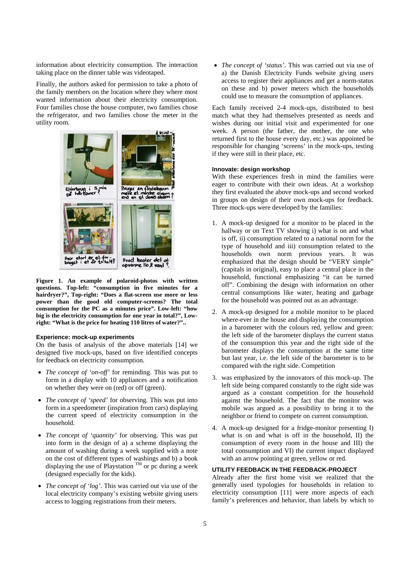information about electricity consumption. The interaction taking place on the dinner table was videotaped.

Finally, the authors asked for permission to take a photo of the family members on the location where they where most wanted information about their electricity consumption. Four families chose the house computer, two families chose the refrigerator, and two families chose the meter in the utility room.



**Figure 1. An example of polaroid-photos with written questions. Top-left: "consumption in five minutes for a hairdryer?", Top-right: "Does a flat-screen use more or less power than the good old computer-screens? The total consumption for the PC as a minutes price". Low-left: "how big is the electricity consumption for one year in total?", Lowright: "What is the price for heating 110 litres of water?"..** 

## **Experience: mock-up experiments**

On the basis of analysis of the above materials [14] we designed five mock-ups, based on five identified concepts for feedback on electricity consumption.

- *The concept of 'on-off'* for reminding. This was put to form in a display with 10 appliances and a notification on whether they were on (red) or off (green).
- *The concept of 'speed'* for observing. This was put into form in a speedometer (inspiration from cars) displaying the current speed of electricity consumption in the household.
- *The concept of 'quantity'* for observing. This was put into form in the design of a) a scheme displaying the amount of washing during a week supplied with a note on the cost of different types of washings and b) a book displaying the use of Playstation  $^{TM}$  or pc during a week (designed especially for the kids).
- *The concept of 'log'*. This was carried out via use of the local electricity company's existing website giving users access to logging registrations from their meters.

• *The concept of 'status'*. This was carried out via use of a) the Danish Electricity Funds website giving users access to register their appliances and get a norm-status on these and b) power meters which the households could use to measure the consumption of appliances.

Each family received 2-4 mock-ups, distributed to best match what they had themselves presented as needs and wishes during our initial visit and experimented for one week. A person (the father, the mother, the one who returned first to the house every day, etc.) was appointed be responsible for changing 'screens' in the mock-ups, testing if they were still in their place, etc.

## **Innovate: design workshop**

With these experiences fresh in mind the families were eager to contribute with their own ideas. At a workshop they first evaluated the above mock-ups and second worked in groups on design of their own mock-ups for feedback. Three mock-ups were developed by the families:

- 1. A mock-up designed for a monitor to be placed in the hallway or on Text TV showing i) what is on and what is off, ii) consumption related to a national norm for the type of household and iii) consumption related to the households own norm previous years. It was emphasized that the design should be "VERY simple" (capitals in original), easy to place a central place in the household, functional emphasizing "it can be turned off". Combining the design with information on other central consumptions like water, heating and garbage for the household was pointed out as an advantage.
- 2. A mock-up designed for a mobile monitor to be placed where-ever in the house and displaying the consumption in a barometer with the colours red, yellow and green: the left side of the barometer displays the current status of the consumption this year and the right side of the barometer displays the consumption at the same time but last year, i.e. the left side of the barometer is to be compared with the right side. Competition
- 3. was emphasized by the innovators of this mock-up. The left side being compared constantly to the right side was argued as a constant competition for the household against the household. The fact that the monitor was mobile was argued as a possibility to bring it to the neighbor or friend to compete on current consumption.
- 4. A mock-up designed for a fridge-monitor presenting I) what is on and what is off in the household, II) the consumption of every room in the house and III) the total consumption and VI) the current impact displayed with an arrow pointing at green, yellow or red.

# **UTILITY FEEDBACK IN THE FEEDBACK-PROJECT**

Already after the first home visit we realized that the generally used typologies for households in relation to electricity consumption [11] were more aspects of each family's preferences and behavior, than labels by which to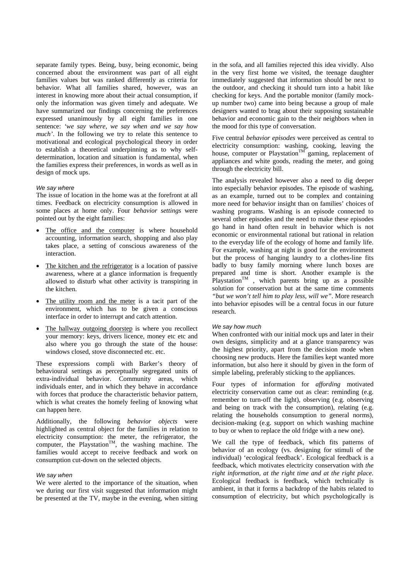separate family types. Being, busy, being economic, being concerned about the environment was part of all eight families values but was ranked differently as criteria for behavior. What all families shared, however, was an interest in knowing more about their actual consumption, if only the information was given timely and adequate. We have summarized our findings concerning the preferences expressed unanimously by all eight families in one sentence: *'we say where, we say when and we say how much'*. In the following we try to relate this sentence to motivational and ecological psychological theory in order to establish a theoretical underpinning as to why selfdetermination, location and situation is fundamental, when the families express their preferences, in words as well as in design of mock ups.

### *We say where*

The issue of location in the home was at the forefront at all times. Feedback on electricity consumption is allowed in some places at home only. Four *behavior settings* were pointed out by the eight families:

- The office and the computer is where household accounting, information search, shopping and also play takes place, a setting of conscious awareness of the interaction.
- The kitchen and the refrigerator is a location of passive awareness, where at a glance information is frequently allowed to disturb what other activity is transpiring in the kitchen.
- The utility room and the meter is a tacit part of the environment, which has to be given a conscious interface in order to interrupt and catch attention.
- The hallway outgoing doorstep is where you recollect your memory: keys, drivers licence, money etc etc and also where you go through the state of the house: windows closed, stove disconnected etc. etc.

These expressions compli with Barker's theory of behavioural settings as perceptually segregated units of extra-individual behavior. Community areas, which individuals enter, and in which they behave in accordance with forces that produce the characteristic behavior pattern, which is what creates the homely feeling of knowing what can happen here.

Additionally, the following *behavior objects* were highlighted as central object for the families in relation to electricity consumption: the meter, the refrigerator, the computer, the Playstation<sup>TM</sup>, the washing machine. The families would accept to receive feedback and work on consumption cut-down on the selected objects.

### *We say when*

We were alerted to the importance of the situation, when we during our first visit suggested that information might be presented at the TV, maybe in the evening, when sitting in the sofa, and all families rejected this idea vividly. Also in the very first home we visited, the teenage daughter immediately suggested that information should be next to the outdoor, and checking it should turn into a habit like checking for keys. And the portable monitor (family mockup number two) came into being because a group of male designers wanted to brag about their supposing sustainable behavior and economic gain to the their neighbors when in the mood for this type of conversation.

Five central *behavior episodes* were perceived as central to electricity consumption: washing, cooking, leaving the house, computer or Playstation<sup>TM</sup> gaming, replacement of appliances and white goods, reading the meter, and going through the electricity bill.

The analysis revealed however also a need to dig deeper into especially behavior episodes. The episode of washing, as an example, turned out to be complex and containing more need for behavior insight than on families' choices of washing programs. Washing is an episode connected to several other episodes and the need to make these episodes go hand in hand often result in behavior which is not economic or environmental rational but rational in relation to the everyday life of the ecology of home and family life. For example, washing at night is good for the environment but the process of hanging laundry to a clothes-line fits badly to busy family morning where lunch boxes are prepared and time is short. Another example is the  $P$ laystation<sup>TM</sup>, which parents bring up as a possible solution for conservation but at the same time comments *"but we won't tell him to play less, will we"*. More research into behavior episodes will be a central focus in our future research.

#### *We say how much*

When confronted with our initial mock ups and later in their own designs, simplicity and at a glance transparency was the highest priority, apart from the decision mode when choosing new products. Here the families kept wanted more information, but also here it should by given in the form of simple labeling, preferably sticking to the appliances.

Four types of information for *affording* motivated electricity conservation came out as clear: reminding (e.g. remember to turn-off the light), observing (e.g. observing and being on track with the consumption), relating (e.g. relating the households consumption to general norms), decision-making (e.g. support on which washing machine to buy or when to replace the old fridge with a new one).

We call the type of feedback, which fits patterns of behavior of an ecology (vs. designing for stimuli of the individual) 'ecological feedback'. Ecological feedback is a feedback, which motivates electricity conservation with *the right information, at the right time and at the right place*. Ecological feedback is feedback, which technically is ambient, in that it forms a backdrop of the habits related to consumption of electricity, but which psychologically is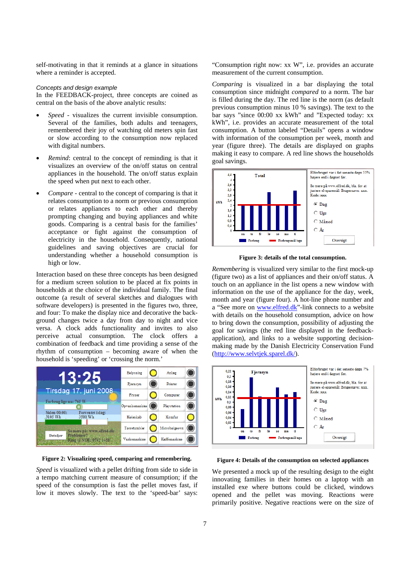self-motivating in that it reminds at a glance in situations where a reminder is accepted.

## *Concepts and design example*

In the FEEDBACK-project, three concepts are coined as central on the basis of the above analytic results:

- Speed visualizes the current invisible consumption. Several of the families, both adults and teenagers, remembered their joy of watching old meters spin fast or slow according to the consumption now replaced with digital numbers.
- *Remind*: central to the concept of reminding is that it visualizes an overview of the on/off status on central appliances in the household. The on/off status explain the speed when put next to each other.
- *Compare* central to the concept of comparing is that it relates consumption to a norm or previous consumption or relates appliances to each other and thereby prompting changing and buying appliances and white goods. Comparing is a central basis for the families' acceptance or fight against the consumption of electricity in the household. Consequently, national guidelines and saving objectives are crucial for understanding whether a household consumption is high or low.

Interaction based on these three concepts has been designed for a medium screen solution to be placed at fix points in households at the choice of the individual family. The final outcome (a result of several sketches and dialogues with software developers) is presented in the figures two, three, and four: To make the display nice and decorative the background changes twice a day from day to night and vice versa. A clock adds functionality and invites to also perceive actual consumption. The clock offers a combination of feedback and time providing a sense of the rhythm of consumption – becoming aware of when the household is 'speeding' or 'crossing the norm.'



**Figure 2: Visualizing speed, comparing and remembering.** 

*Speed* is visualized with a pellet drifting from side to side in a tempo matching current measure of consumption; if the speed of the consumption is fast the pellet moves fast, if low it moves slowly. The text to the 'speed-bar' says:

"Consumption right now: xx W", i.e. provides an accurate measurement of the current consumption.

*Comparing* is visualized in a bar displaying the total consumption since midnight *compared* to a norm. The bar is filled during the day. The red line is the norm (as default previous consumption minus 10 % savings). The text to the bar says "since 00:00 xx kWh" and "Expected today: xx kWh", i.e. provides an accurate measurement of the total consumption. A button labeled "Details" opens a window with information of the consumption per week, month and year (figure three). The details are displayed on graphs making it easy to compare. A red line shows the households goal savings.



**Figure 3: details of the total consumption.** 

*Remembering* is visualized very similar to the first mock-up (figure two) as a list of appliances and their on/off status. A touch on an appliance in the list opens a new window with information on the use of the appliance for the day, week, month and year (figure four). A hot-line phone number and a "See more on www.elfred.dk"-link connects to a website with details on the household consumption, advice on how to bring down the consumption, possibility of adjusting the goal for savings (the red line displayed in the feedbackapplication), and links to a website supporting decisionmaking made by the Danish Electricity Conservation Fund (http://www.selvtjek.sparel.dk/).



**Figure 4: Details of the consumption on selected appliances** 

We presented a mock up of the resulting design to the eight innovating families in their homes on a laptop with an installed exe where buttons could be clicked, windows opened and the pellet was moving. Reactions were primarily positive. Negative reactions were on the size of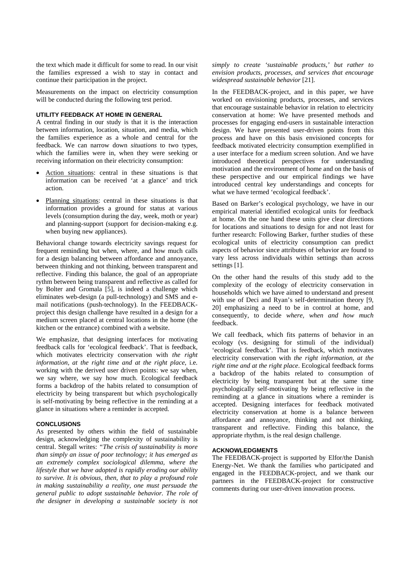the text which made it difficult for some to read. In our visit the families expressed a wish to stay in contact and continue their participation in the project.

Measurements on the impact on electricity consumption will be conducted during the following test period.

# **UTILITY FEEDBACK AT HOME IN GENERAL**

A central finding in our study is that it is the interaction between information, location, situation, and media, which the families experience as a whole and central for the feedback. We can narrow down *situations* to two types, which the families were in, when they were seeking or receiving information on their electricity consumption:

- Action situations: central in these situations is that information can be received 'at a glance' and trick action.
- Planning situations: central in these situations is that information provides a ground for status at various levels (consumption during the day, week, moth or year) and planning-support (support for decision-making e.g. when buying new appliances).

Behavioral change towards electricity savings request for frequent reminding but when, where, and how much calls for a design balancing between affordance and annoyance, between thinking and not thinking, between transparent and reflective. Finding this balance, the goal of an appropriate rythm between being transparent and reflective as called for by Bolter and Gromala [5], is indeed a challenge which eliminates web-design (a pull-technology) and SMS and email notifications (push-technology). In the FEEDBACKproject this design challenge have resulted in a design for a medium screen placed at central locations in the home (the kitchen or the entrance) combined with a website.

We emphasize, that designing interfaces for motivating feedback calls for 'ecological feedback'. That is feedback, which motivates electricity conservation with *the right information, at the right time and at the right place*, i.e. working with the derived user driven points: we say when, we say where, we say how much. Ecological feedback forms a backdrop of the habits related to consumption of electricity by being transparent but which psychologically is self-motivating by being reflective in the reminding at a glance in situations where a reminder is accepted.

## **CONCLUSIONS**

As presented by others within the field of sustainable design, acknowledging the complexity of sustainability is central. Stegall writes: *"The crisis of sustainability is more than simply an issue of poor technology; it has emerged as an extremely complex sociological dilemma, where the lifestyle that we have adopted is rapidly eroding our ability to survive. It is obvious, then, that to play a profound role in making sustainability a reality, one must persuade the general public to adopt sustainable behavior. The role of the designer in developing a sustainable society is not* 

*simply to create 'sustainable products,' but rather to envision products, processes, and services that encourage widespread sustainable behavior* [21].

In the FEEDBACK-project, and in this paper, we have worked on envisioning products, processes, and services that encourage sustainable behavior in relation to electricity conservation at home: We have presented methods and processes for engaging end-users in sustainable interaction design. We have presented user-driven points from this process and have on this basis envisioned concepts for feedback motivated electricity consumption exemplified in a user interface for a medium screen solution. And we have introduced theoretical perspectives for understanding motivation and the environment of home and on the basis of these perspective and our empirical findings we have introduced central key understandings and concepts for what we have termed 'ecological feedback'.

Based on Barker's ecological psychology, we have in our empirical material identified ecological units for feedback at home. On the one hand these units give clear directions for locations and situations to design for and not least for further research: Following Barker, further studies of these ecological units of electricity consumption can predict aspects of behavior since attributes of behavior are found to vary less across individuals within settings than across settings [1].

On the other hand the results of this study add to the complexity of the ecology of electricity conservation in households which we have aimed to understand and present with use of Deci and Ryan's self-determination theory [9, 20] emphasizing a need to be in control at home, and consequently, to decide *where, when and how much* feedback.

We call feedback, which fits patterns of behavior in an ecology (vs. designing for stimuli of the individual) 'ecological feedback'. That is feedback, which motivates electricity conservation with *the right information, at the right time and at the right place*. Ecological feedback forms a backdrop of the habits related to consumption of electricity by being transparent but at the same time psychologically self-motivating by being reflective in the reminding at a glance in situations where a reminder is accepted. Designing interfaces for feedback motivated electricity conservation at home is a balance between affordance and annoyance, thinking and not thinking, transparent and reflective. Finding this balance, the appropriate rhythm, is the real design challenge.

### **ACKNOWLEDGMENTS**

The FEEDBACK-project is supported by Elfor/the Danish Energy-Net. We thank the families who participated and engaged in the FEEDBACK-project, and we thank our partners in the FEEDBACK-project for constructive comments during our user-driven innovation process.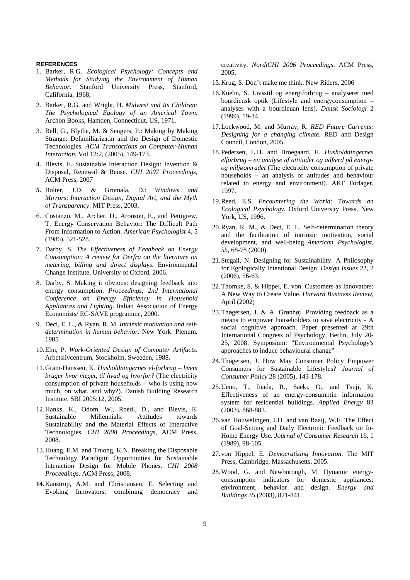### **REFERENCES**

- 1. Barker, R.G. *Ecological Psychology: Concepts and Methods for Studying the Environment of Human Behavior*. Stanford University Press, Stanford, California, 1968,
- 2. Barker, R.G. and Wright, H. *Midwest and Its Children: The Psychological Egology of an Americal Town*. Archon Books, Hamden, Connecticut, US, 1971.
- 3. Bell, G., Blythe, M. & Sengers, P.: Making by Making Strange: Defamiliarizatin and the Design of Domestic Technologies. *ACM Transactions on Computer-Human Interaction*. Vol 12:2, (2005), 149-173.
- 4. Blevis, E. Sustainable Interaction Design: Invention & Disposal, Renewal & Reuse. *CHI 2007 Proceedings*, ACM Press, 2007
- **5.** Bolter, J.D. & Gromala, D.: *Windows and Mirrors: Interaction Design, Digital Art, and the Myth of Transparency*. MIT Press, 2003.
- 6. Costanzo, M., Archer, D., Aronson, E., and Pettigrew, T. Energy Conservation Behavior: The Difficult Path From Information to Action. *American Psychologist* 4, 5 (1986), 521-528.
- 7. Darby, S. *The Effectiveness of Feedback on Energy Consumption: A review for Derfra on the literature on metering, billing and direct displays*. Environmental Change Institute, University of Oxford, 2006.
- 8. Darby, S. Making it obvious: designing feedback into energy consumption. *Proceedings, 2nd International Conference on Energy Efficiency in Household Appliances and Lighting*. Italian Association of Energy Economists/ EC-SAVE programme, 2000.
- 9. Deci, E. L., & Ryan, R. M. *Intrinsic motivation and selfdetermination in human behavior*. New York: Plenum. 1985
- 10.Ehn, P. *Work-Oriented Design of Computer Artifacts*. Arbetslivcentrum, Stockholm, Sweeden, 1988.
- 11.Gram-Hanssen, K. *Husholdningernes el-forbrug hvem bruger hvor meget, til hvad og hvorfor?* (The electricity consumption of private households – who is using how much, on what, and why?). Danish Building Research Institute, SBI 2005:12, 2005.
- 12.Hanks, K., Odom, W., Roedl, D., and Blevis, E. Sustainable Millennials: Attitudes towards Sustainability and the Material Effects of Interactive Technologies. *CHI 2008 Proceedings*, ACM Press, 2008.
- 13.Huang, E.M. and Truong, K.N. Breaking the Disposable Technology Paradigm: Opportunities for Sustainable Interaction Design for Mobile Phones. *CHI 2008 Proceedings*. ACM Press, 2008.
- **14.**Kanstrup, A.M. and Christiansen, E. Selecting and Evoking Innovators: combining democracy and

creativity. *NordiCHI 2006 Proceedings,* ACM Press, 2005.

- 15.Krug, S. Don't make me think. New Riders, 2006
- 16.Kuehn, S. Livsstil og energiforbrug analyseret med bourdieusk optik (Lifestyle and energyconsumption – analyses with a bourdieuan lens). *Dansk Sociologi* 2 (1999), 19-34.
- 17.Lockwood, M. and Murray, R. *RED Future Currents: Designing for a changing climate*. RED and Design Council, London, 2005.
- 18.Pedersen, L.H. and Broegaard, E. *Husholdningernes elforbrug – en analyse af attituder og adfærd på energiog miljøområdet* (The electricity consumption of private households – an analysis of attitudes and behaviour related to energy and environment). AKF Forlager, 1997.
- 19.Reed, E.S. *Encountering the World: Towards an Ecological Psychology.* Oxford University Press, New York, US, 1996.
- 20.Ryan, R. M., & Deci, E. L. Self-determination theory and the facilitation of intrinsic motivation, social development, and well-being. *American Psychologist, 55*, 68-78 (2000).
- 21.Stegall, N. Designing for Sustainability: A Philosophy for Egologically Intentional Design. *Design Issues* 22, 2 (2006), 56-63.
- 22.Thomke, S. & Hippel, E. von. Customers as Innovators: A New Way to Create Value. *Harvard Business Review*, April (2002)
- 23.Thøgersen, J. & A. Grønhøj. Providing feedback as a means to empower householders to save electricity - A social cognitive approach. Paper presented at 29th International Congress of Psychology, Berlin, July 20- 25, 2008. Symposium: "Environmental Psychology's approaches to induce behavioural change"
- 24.Thøgersen, J. How May Consumer Policy Empower Consumers for Sustainable Lifestyles? *Journal of Consumer Policy* 28 (2005), 143-178.
- 25.Ueno, T., Inada, R., Saeki, O., and Tsuji, K. Effectiveness of an energy-consumptin information system for residential buildings. *Applied Energy* 83 (2003), 868-883.
- 26.van Houwelingen, J.H. and van Raaij, W.F. The Effect of Goal-Setting and Daily Electronic Feedback on In-Home Energy Use. *Journal of Consumer Research* 16, 1 (1989), 98-105.
- 27.von Hippel, E. *Democratizing Innovation*. The MIT Press, Cambridge, Massachusetts, 2005.
- 28.Wood, G. and Newborough, M. Dynamic energyconsumption indicators for domestic appliances: environment, behavior and design. *Energy and Buildings* 35 (2003), 821-841.